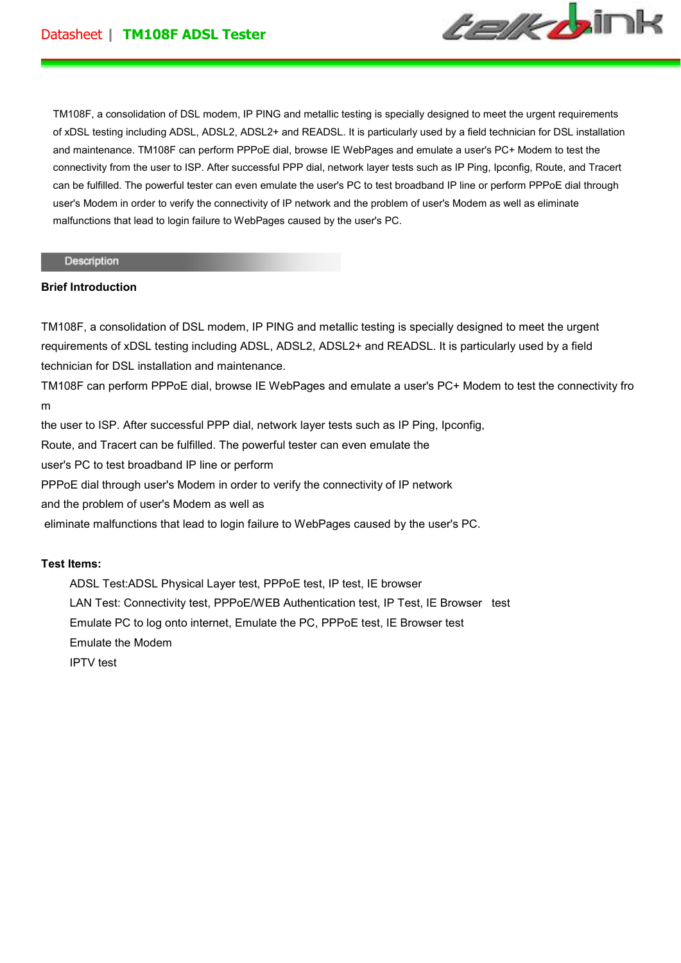

TM108F, a consolidation of DSL modem, IP PING and metallic testing is specially designed to meet the urgent requirements of xDSL testing including ADSL, ADSL2, ADSL2+ and READSL. It is particularly used by a field technician for DSL installation and maintenance. TM108F can perform PPPoE dial, browse IE WebPages and emulate a user's PC+ Modem to test the connectivity from the user to ISP. After successful PPP dial, network layer tests such as IP Ping, Ipconfig, Route, and Tracert can be fulfilled. The powerful tester can even emulate the user's PC to test broadband IP line or perform PPPoE dial through user's Modem in order to verify the connectivity of IP network and the problem of user's Modem as well as eliminate malfunctions that lead to login failure to WebPages caused by the user's PC.

#### Description

### **Brief Introduction**

TM108F, a consolidation of DSL modem, IP PING and metallic testing is specially designed to meet the urgent requirements of xDSL testing including ADSL, ADSL2, ADSL2+ and READSL. It is particularly used by a field technician for DSL installation and maintenance.

TM108F can perform PPPoE dial, browse IE WebPages and emulate a user's PC+ Modem to test the connectivity fro m

the user to ISP. After successful PPP dial, network layer tests such as IP Ping, Ipconfig, Route, and Tracert can be fulfilled. The powerful tester can even emulate the user's PC to test broadband IP line or perform PPPoE dial through user's Modem in order to verify the connectivity of IP network and the problem of user's Modem as well as eliminate malfunctions that lead to login failure to WebPages caused by the user's PC.

### **Test Items:**

 ADSL Test:ADSL Physical Layer test, PPPoE test, IP test, IE browser LAN Test: Connectivity test, PPPoE/WEB Authentication test, IP Test, IE Browser test Emulate PC to log onto internet, Emulate the PC, PPPoE test, IE Browser test Emulate the Modem IPTV test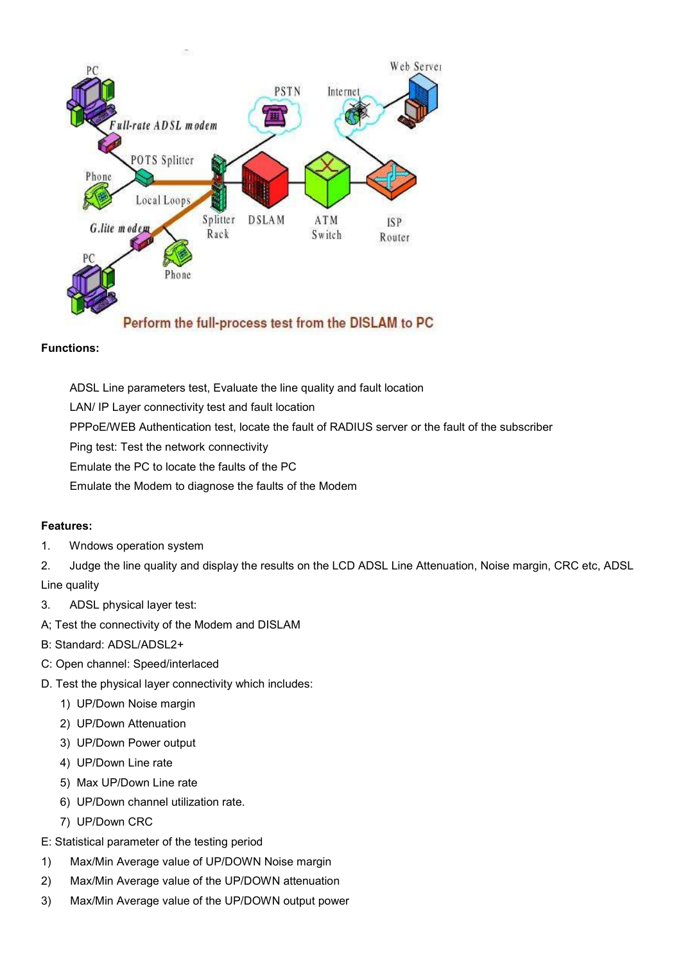

## **Functions:**

ADSL Line parameters test, Evaluate the line quality and fault location

LAN/ IP Layer connectivity test and fault location

PPPoE/WEB Authentication test, locate the fault of RADIUS server or the fault of the subscriber

Ping test: Test the network connectivity

Emulate the PC to locate the faults of the PC

Emulate the Modem to diagnose the faults of the Modem

# **Features:**

1. Wndows operation system

2. Judge the line quality and display the results on the LCD ADSL Line Attenuation, Noise margin, CRC etc, ADSL Line quality

- 3. ADSL physical layer test:
- A; Test the connectivity of the Modem and DISLAM
- B: Standard: ADSL/ADSL2+
- C: Open channel: Speed/interlaced
- D. Test the physical layer connectivity which includes:
	- 1) UP/Down Noise margin
	- 2) UP/Down Attenuation
	- 3) UP/Down Power output
	- 4) UP/Down Line rate
	- 5) Max UP/Down Line rate
	- 6) UP/Down channel utilization rate.
	- 7) UP/Down CRC

E: Statistical parameter of the testing period

- 1) Max/Min Average value of UP/DOWN Noise margin
- 2) Max/Min Average value of the UP/DOWN attenuation
- 3) Max/Min Average value of the UP/DOWN output power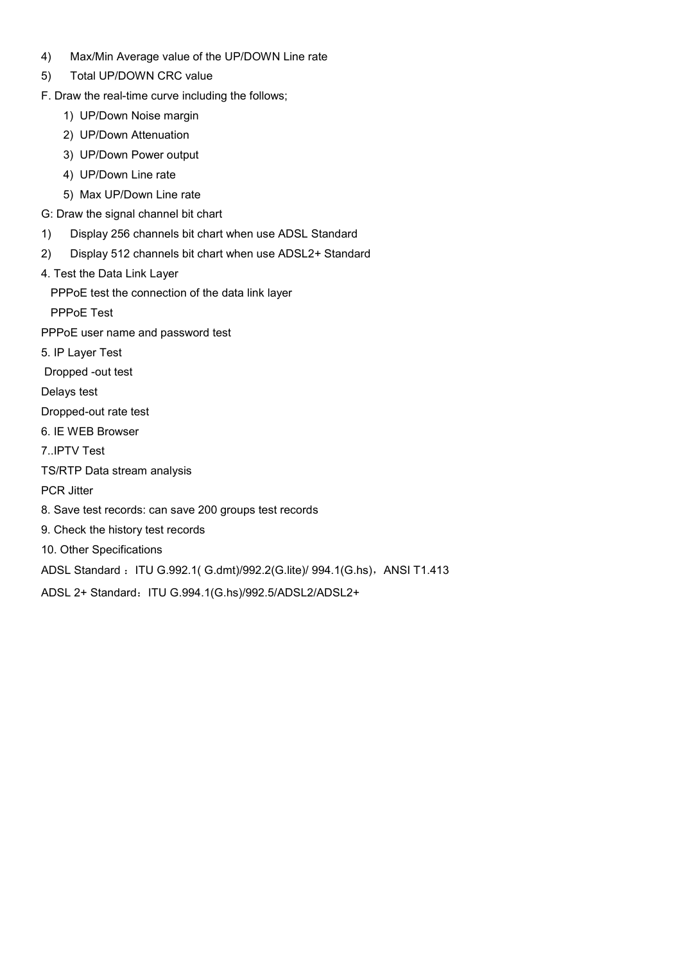- 4) Max/Min Average value of the UP/DOWN Line rate
- 5) Total UP/DOWN CRC value
- F. Draw the real-time curve including the follows;
	- 1) UP/Down Noise margin
	- 2) UP/Down Attenuation
	- 3) UP/Down Power output
	- 4) UP/Down Line rate
	- 5) Max UP/Down Line rate
- G: Draw the signal channel bit chart
- 1) Display 256 channels bit chart when use ADSL Standard
- 2) Display 512 channels bit chart when use ADSL2+ Standard
- 4. Test the Data Link Layer
	- PPPoE test the connection of the data link layer

PPPoE Test

PPPoE user name and password test

- 5. IP Layer Test
- Dropped -out test

Delays test

- Dropped-out rate test
- 6. IE WEB Browser

7..IPTV Test

TS/RTP Data stream analysis

PCR Jitter

- 8. Save test records: can save 200 groups test records
- 9. Check the history test records
- 10. Other Specifications

ADSL Standard : ITU G.992.1( G.dmt)/992.2(G.lite)/ 994.1(G.hs), ANSI T1.413

ADSL 2+ Standard: ITU G.994.1(G.hs)/992.5/ADSL2/ADSL2+